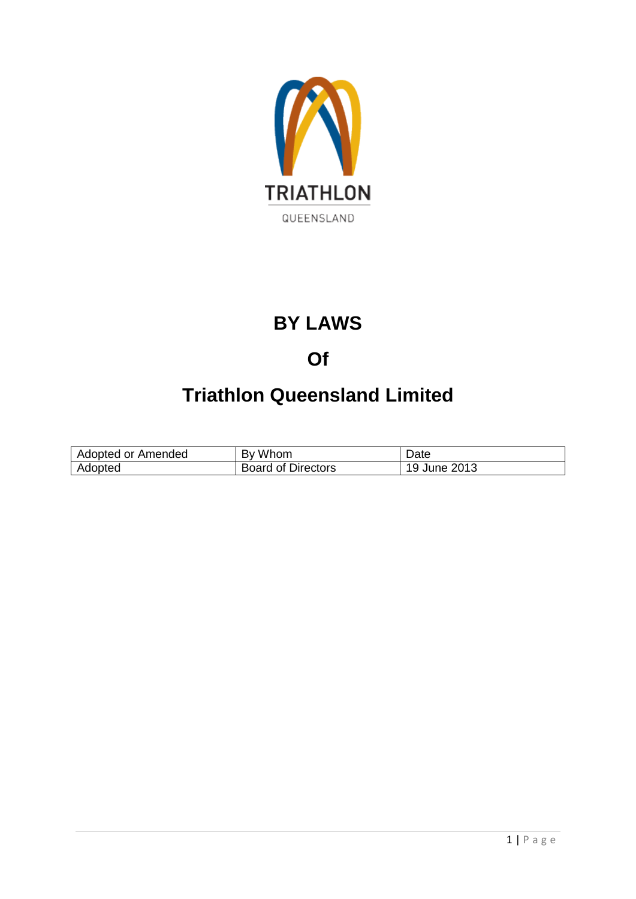

# **BY LAWS**

## **Of**

# **Triathlon Queensland Limited**

| Adopted or Amended | Whom<br>Bv                | Date                |
|--------------------|---------------------------|---------------------|
| Adopted            | <b>Board of Directors</b> | ∖ June 2013<br>. 19 |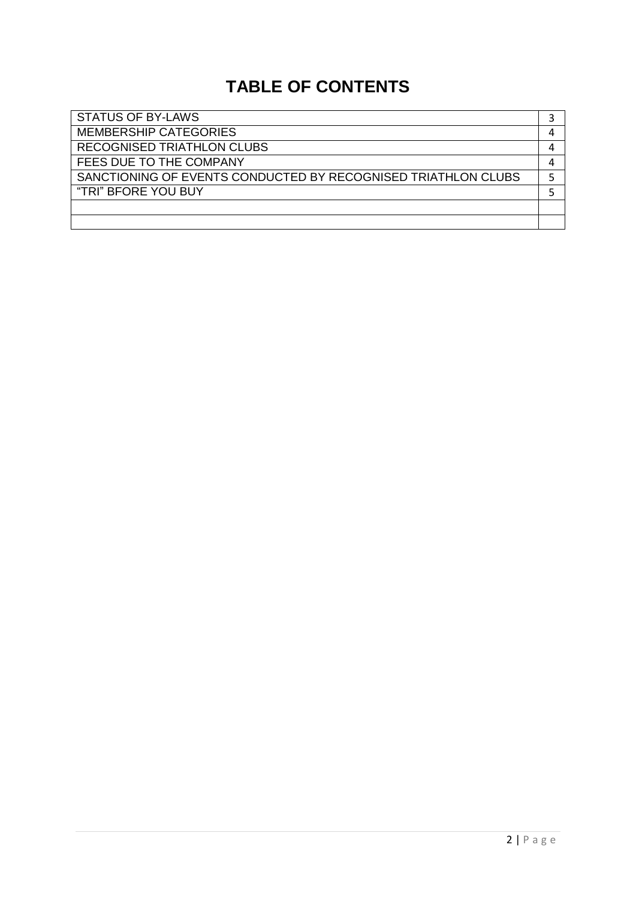## **TABLE OF CONTENTS**

| <b>STATUS OF BY-LAWS</b>                                      |   |
|---------------------------------------------------------------|---|
| <b>MEMBERSHIP CATEGORIES</b>                                  | 4 |
| <b>RECOGNISED TRIATHLON CLUBS</b>                             |   |
| FEES DUE TO THE COMPANY                                       | 4 |
| SANCTIONING OF EVENTS CONDUCTED BY RECOGNISED TRIATHLON CLUBS |   |
| "TRI" BFORE YOU BUY                                           |   |
|                                                               |   |
|                                                               |   |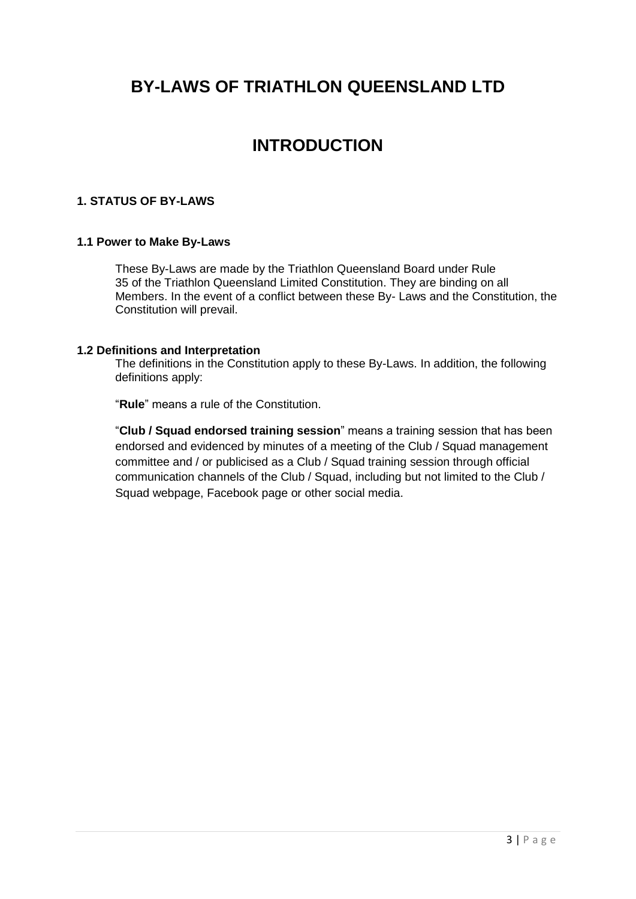### **BY-LAWS OF TRIATHLON QUEENSLAND LTD**

### **INTRODUCTION**

#### **1. STATUS OF BY-LAWS**

#### **1.1 Power to Make By-Laws**

These By-Laws are made by the Triathlon Queensland Board under Rule 35 of the Triathlon Queensland Limited Constitution. They are binding on all Members. In the event of a conflict between these By- Laws and the Constitution, the Constitution will prevail.

#### **1.2 Definitions and Interpretation**

The definitions in the Constitution apply to these By-Laws. In addition, the following definitions apply:

"**Rule**" means a rule of the Constitution.

"**Club / Squad endorsed training session**" means a training session that has been endorsed and evidenced by minutes of a meeting of the Club / Squad management committee and / or publicised as a Club / Squad training session through official communication channels of the Club / Squad, including but not limited to the Club / Squad webpage, Facebook page or other social media.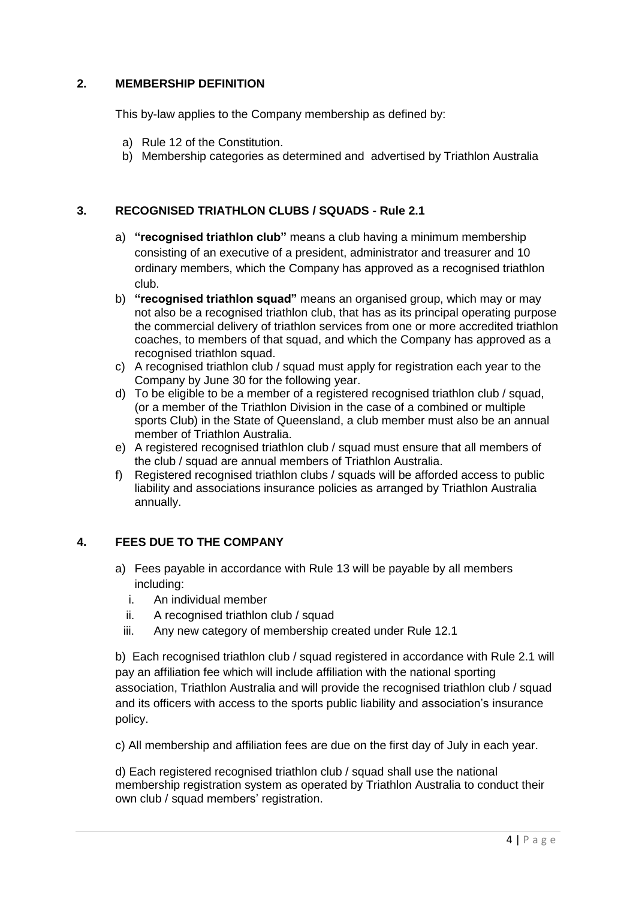#### **2. MEMBERSHIP DEFINITION**

This by-law applies to the Company membership as defined by:

- a) Rule 12 of the Constitution.
- b) Membership categories as determined and advertised by Triathlon Australia

#### **3. RECOGNISED TRIATHLON CLUBS / SQUADS - Rule 2.1**

- a) **"recognised triathlon club"** means a club having a minimum membership consisting of an executive of a president, administrator and treasurer and 10 ordinary members, which the Company has approved as a recognised triathlon club.
- b) **"recognised triathlon squad"** means an organised group, which may or may not also be a recognised triathlon club, that has as its principal operating purpose the commercial delivery of triathlon services from one or more accredited triathlon coaches, to members of that squad, and which the Company has approved as a recognised triathlon squad.
- c) A recognised triathlon club / squad must apply for registration each year to the Company by June 30 for the following year.
- d) To be eligible to be a member of a registered recognised triathlon club / squad, (or a member of the Triathlon Division in the case of a combined or multiple sports Club) in the State of Queensland, a club member must also be an annual member of Triathlon Australia.
- e) A registered recognised triathlon club / squad must ensure that all members of the club / squad are annual members of Triathlon Australia.
- f) Registered recognised triathlon clubs / squads will be afforded access to public liability and associations insurance policies as arranged by Triathlon Australia annually.

#### **4. FEES DUE TO THE COMPANY**

- a) Fees payable in accordance with Rule 13 will be payable by all members including:
	- i. An individual member
	- ii. A recognised triathlon club / squad
	- iii. Any new category of membership created under Rule 12.1

b) Each recognised triathlon club / squad registered in accordance with Rule 2.1 will pay an affiliation fee which will include affiliation with the national sporting association, Triathlon Australia and will provide the recognised triathlon club / squad and its officers with access to the sports public liability and association's insurance policy.

c) All membership and affiliation fees are due on the first day of July in each year.

d) Each registered recognised triathlon club / squad shall use the national membership registration system as operated by Triathlon Australia to conduct their own club / squad members' registration.